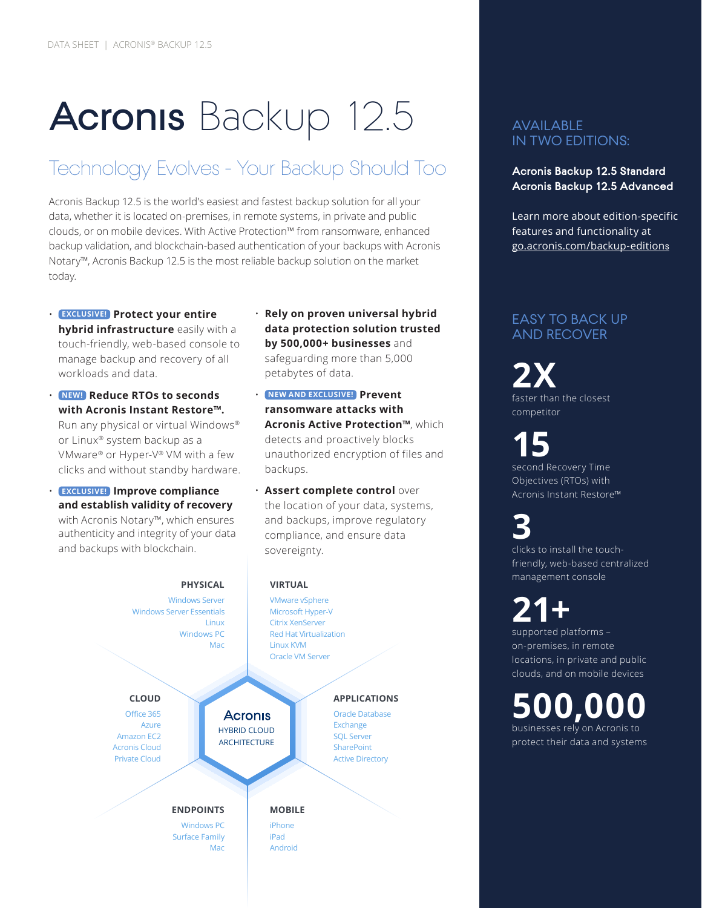# Acronis Backup 12.5

### Technology Evolves - Your Backup Should Too

Acronis Backup 12.5 is the world's easiest and fastest backup solution for all your data, whether it is located on-premises, in remote systems, in private and public clouds, or on mobile devices. With Active Protection™ from ransomware, enhanced backup validation, and blockchain-based authentication of your backups with Acronis Notary™, Acronis Backup 12.5 is the most reliable backup solution on the market today.

- **EXCLUSIVE! Protect your entire hybrid infrastructure** easily with a touch-friendly, web-based console to manage backup and recovery of all workloads and data.
- **NEW! Reduce RTOs to seconds with Acronis Instant Restore™.** Run any physical or virtual Windows® or Linux® system backup as a VMware® or Hyper-V® VM with a few clicks and without standby hardware.
- **EXCLUSIVE! Improve compliance and establish validity of recovery** with Acronis Notary™, which ensures authenticity and integrity of your data and backups with blockchain.
- **Rely on proven universal hybrid data protection solution trusted by 500,000+ businesses** and safeguarding more than 5,000 petabytes of data.
- **NEW AND EXCLUSIVE! Prevent ransomware attacks with Acronis Active Protection™**, which detects and proactively blocks unauthorized encryption of files and backups.
- **Assert complete control** over the location of your data, systems, and backups, improve regulatory compliance, and ensure data sovereignty.



#### AVAILABLE IN TWO EDITIONS:

**Acronis Backup 12.5 Standard Acronis Backup 12.5 Advanced**

Learn more about edition-specific features and functionality at [go.acronis.com/backup-edition](http://go.acronis.com/backup-editions)s

#### EASY TO BACK UP AND RECOVER

**2X** faster than the closest competitor

**15** second Recovery Time Objectives (RTOs) with Acronis Instant Restore™

**3** clicks to install the touchfriendly, web-based centralized management console

### **21+** supported platforms –

on-premises, in remote locations, in private and public clouds, and on mobile devices

**500,000** businesses rely on Acronis to protect their data and systems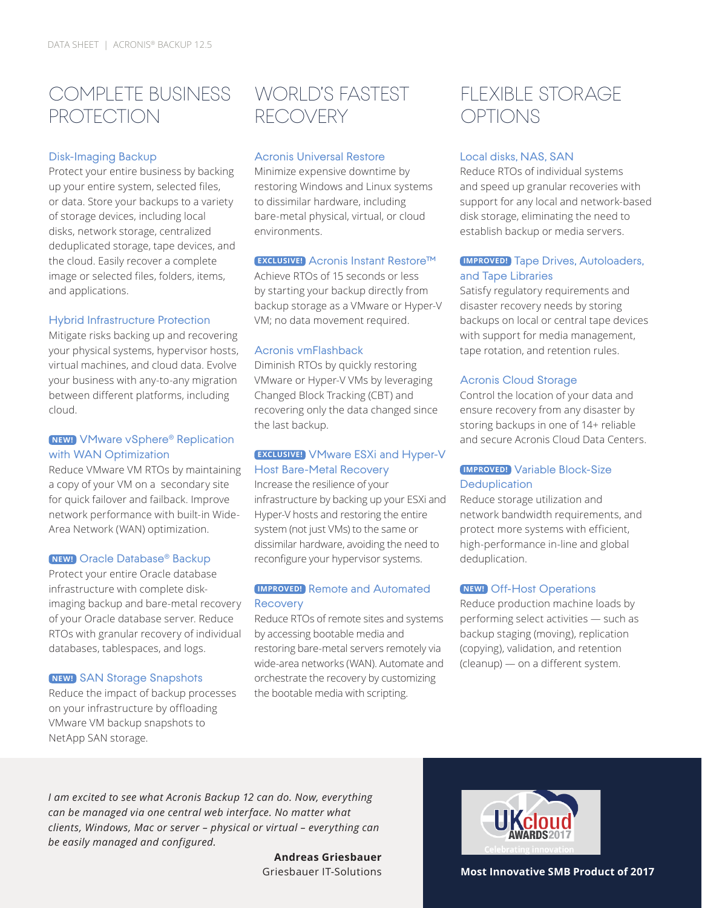### COMPLETE BUSINESS **PROTECTION**

#### Disk-Imaging Backup

Protect your entire business by backing up your entire system, selected files, or data. Store your backups to a variety of storage devices, including local disks, network storage, centralized deduplicated storage, tape devices, and the cloud. Easily recover a complete image or selected files, folders, items, and applications.

#### Hybrid Infrastructure Protection

Mitigate risks backing up and recovering your physical systems, hypervisor hosts, virtual machines, and cloud data. Evolve your business with any-to-any migration between different platforms, including cloud.

#### **NEW!** VMware vSphere® Replication with WAN Optimization

Reduce VMware VM RTOs by maintaining a copy of your VM on a secondary site for quick failover and failback. Improve network performance with built-in Wide-Area Network (WAN) optimization.

#### **NEW!** Oracle Database® Backup

Protect your entire Oracle database infrastructure with complete diskimaging backup and bare-metal recovery of your Oracle database server. Reduce RTOs with granular recovery of individual databases, tablespaces, and logs.

#### **NEW!** SAN Storage Snapshots

Reduce the impact of backup processes on your infrastructure by offloading VMware VM backup snapshots to NetApp SAN storage.

### WORLD'S FASTEST RECOVERY

#### Acronis Universal Restore

Minimize expensive downtime by restoring Windows and Linux systems to dissimilar hardware, including bare-metal physical, virtual, or cloud environments.

#### **EXCLUSIVE!** Acronis Instant Restore™

Achieve RTOs of 15 seconds or less by starting your backup directly from backup storage as a VMware or Hyper-V VM; no data movement required.

#### Acronis vmFlashback

Diminish RTOs by quickly restoring VMware or Hyper-V VMs by leveraging Changed Block Tracking (CBT) and recovering only the data changed since the last backup.

#### **EXCLUSIVE!** VMware ESXi and Hyper-V Host Bare-Metal Recovery

Increase the resilience of your infrastructure by backing up your ESXi and Hyper-V hosts and restoring the entire system (not just VMs) to the same or dissimilar hardware, avoiding the need to reconfigure your hypervisor systems.

#### **IMPROVED!** Remote and Automated Recovery

Reduce RTOs of remote sites and systems by accessing bootable media and restoring bare-metal servers remotely via wide-area networks (WAN). Automate and orchestrate the recovery by customizing the bootable media with scripting.

### FLEXIBLE STORAGE OPTIONS

#### Local disks, NAS, SAN

Reduce RTOs of individual systems and speed up granular recoveries with support for any local and network-based disk storage, eliminating the need to establish backup or media servers.

#### **IMPROVED!** Tape Drives, Autoloaders, and Tape Libraries

Satisfy regulatory requirements and disaster recovery needs by storing backups on local or central tape devices with support for media management, tape rotation, and retention rules.

#### Acronis Cloud Storage

Control the location of your data and ensure recovery from any disaster by storing backups in one of 14+ reliable and secure Acronis Cloud Data Centers.

#### **IMPROVED!** Variable Block-Size **Deduplication**

Reduce storage utilization and network bandwidth requirements, and protect more systems with efficient, high-performance in-line and global deduplication.

#### **NEW!** Off-Host Operations

Reduce production machine loads by performing select activities — such as backup staging (moving), replication (copying), validation, and retention (cleanup) — on a different system.

*I am excited to see what Acronis Backup 12 can do. Now, everything can be managed via one central web interface. No matter what clients, Windows, Mac or server – physical or virtual – everything can be easily managed and configured.* 

**Andreas Griesbauer**



Griesbauer IT-Solutions **Most Innovative SMB Product of 2017**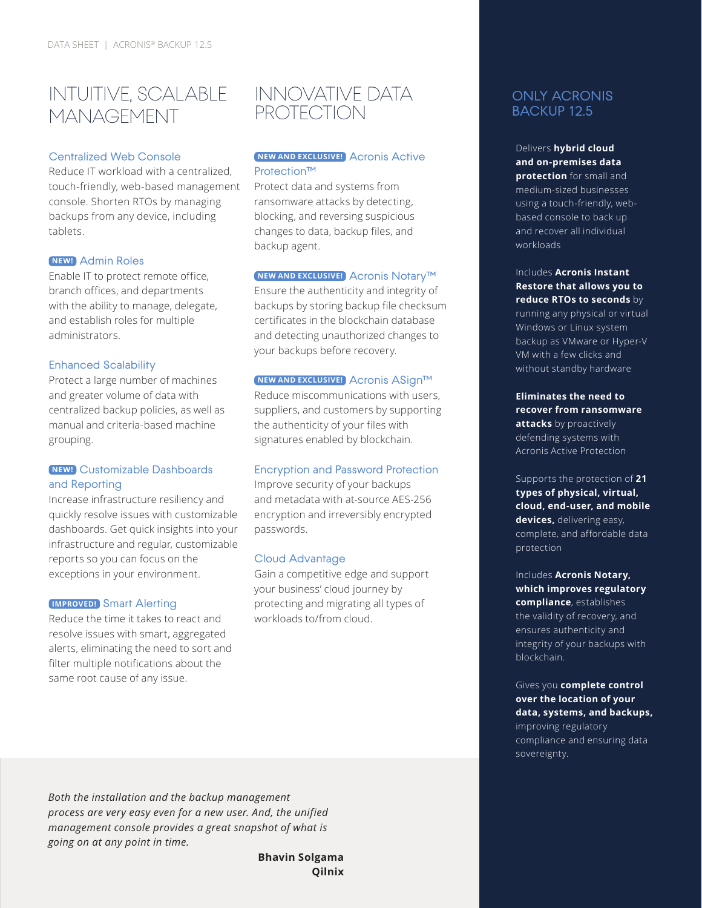### INTUITIVE, SCALABLE MANAGEMENT

#### Centralized Web Console

Reduce IT workload with a centralized, touch-friendly, web-based management console. Shorten RTOs by managing backups from any device, including tablets.

#### **NEW!** Admin Roles

Enable IT to protect remote office, branch offices, and departments with the ability to manage, delegate, and establish roles for multiple administrators.

#### Enhanced Scalability

Protect a large number of machines and greater volume of data with centralized backup policies, as well as manual and criteria-based machine grouping.

#### **NEW!** Customizable Dashboards and Reporting

Increase infrastructure resiliency and quickly resolve issues with customizable dashboards. Get quick insights into your infrastructure and regular, customizable reports so you can focus on the exceptions in your environment.

#### **IMPROVED!** Smart Alerting

Reduce the time it takes to react and resolve issues with smart, aggregated alerts, eliminating the need to sort and filter multiple notifications about the same root cause of any issue.

### INNOVATIVE DATA **PROTECTION**

#### **NEW AND EXCLUSIVE!** Acronis Active Protection™

Protect data and systems from ransomware attacks by detecting, blocking, and reversing suspicious changes to data, backup files, and backup agent.

#### **NEW AND EXCLUSIVE!** Acronis Notary™

Ensure the authenticity and integrity of backups by storing backup file checksum certificates in the blockchain database and detecting unauthorized changes to your backups before recovery.

#### **NEW AND EXCLUSIVE!** Acronis ASign™

Reduce miscommunications with users, suppliers, and customers by supporting the authenticity of your files with signatures enabled by blockchain.

#### Encryption and Password Protection

Improve security of your backups and metadata with at-source AES-256 encryption and irreversibly encrypted passwords.

#### Cloud Advantage

Gain a competitive edge and support your business' cloud journey by protecting and migrating all types of workloads to/from cloud.

#### ONLY ACRONIS BACKUP 12.5

Delivers **hybrid cloud and on-premises data protection** for small and medium-sized businesses using a touch-friendly, webbased console to back up and recover all individual workloads

Includes **Acronis Instant Restore that allows you to reduce RTOs to seconds** by running any physical or virtual Windows or Linux system backup as VMware or Hyper-V VM with a few clicks and without standby hardware

**Eliminates the need to recover from ransomware attacks** by proactively defending systems with Acronis Active Protection

Supports the protection of **21 types of physical, virtual, cloud, end-user, and mobile devices,** delivering easy, complete, and affordable data protection

Includes **Acronis Notary, which improves regulatory compliance**, establishes the validity of recovery, and ensures authenticity and integrity of your backups with blockchain.

#### Gives you **complete control over the location of your data, systems, and backups,** improving regulatory compliance and ensuring data sovereignty.

*Both the installation and the backup management process are very easy even for a new user. And, the unified management console provides a great snapshot of what is going on at any point in time.*

> **Bhavin Solgama Qilnix**